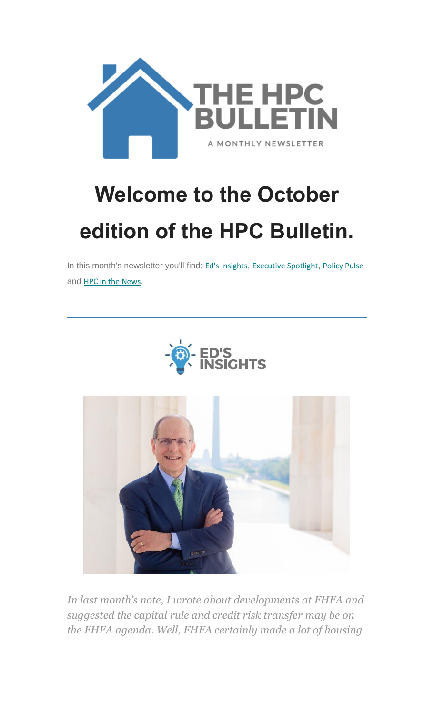

# **Welcome to the October edition of the HPC Bulletin.**

In this month's newsletter you'll find: Ed's [Insights](#page-0-0), [Executive](#page-2-0) Spotlight, [Policy Pulse](#page-3-0) and [HPC in the News](#page-7-0).



<span id="page-0-0"></span>

*In last month's note, I wrote about developments at FHFA and suggested the capital rule and credit risk transfer may be on the FHFA agenda. Well, FHFA certainly made a lot of housing*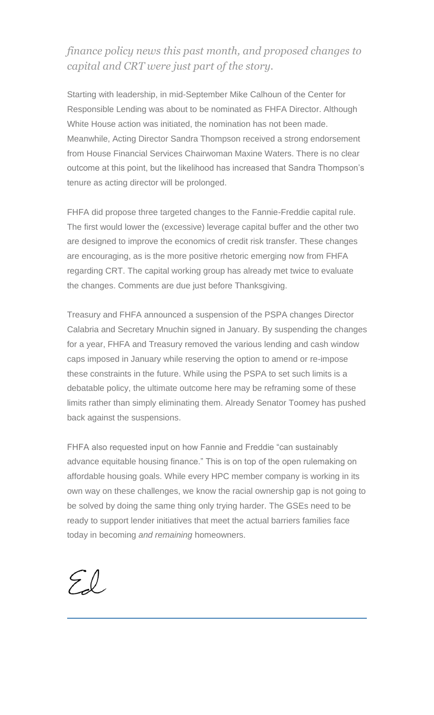#### *finance policy news this past month, and proposed changes to capital and CRT were just part of the story.*

Starting with leadership, in mid-September Mike Calhoun of the Center for Responsible Lending was about to be nominated as FHFA Director. Although White House action was initiated, the nomination has not been made. Meanwhile, Acting Director Sandra Thompson received a strong endorsement from House Financial Services Chairwoman Maxine Waters. There is no clear outcome at this point, but the likelihood has increased that Sandra Thompson's tenure as acting director will be prolonged.

FHFA did propose three targeted changes to the Fannie-Freddie capital rule. The first would lower the (excessive) leverage capital buffer and the other two are designed to improve the economics of credit risk transfer. These changes are encouraging, as is the more positive rhetoric emerging now from FHFA regarding CRT. The capital working group has already met twice to evaluate the changes. Comments are due just before Thanksgiving.

Treasury and FHFA announced a suspension of the PSPA changes Director Calabria and Secretary Mnuchin signed in January. By suspending the changes for a year, FHFA and Treasury removed the various lending and cash window caps imposed in January while reserving the option to amend or re-impose these constraints in the future. While using the PSPA to set such limits is a debatable policy, the ultimate outcome here may be reframing some of these limits rather than simply eliminating them. Already Senator Toomey has pushed back against the suspensions.

FHFA also requested input on how Fannie and Freddie "can sustainably advance equitable housing finance." This is on top of the open rulemaking on affordable housing goals. While every HPC member company is working in its own way on these challenges, we know the racial ownership gap is not going to be solved by doing the same thing only trying harder. The GSEs need to be ready to support lender initiatives that meet the actual barriers families face today in becoming *and remaining* homeowners.

 $\mathcal{L}(\mathcal{C})$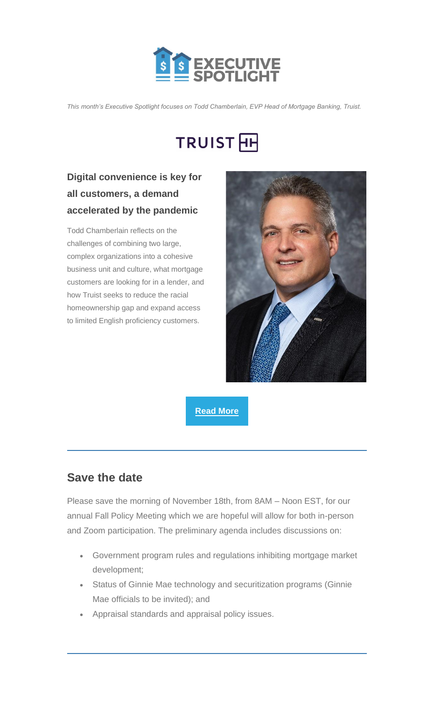

<span id="page-2-0"></span>*This month's Executive Spotlight focuses on Todd Chamberlain, EVP Head of Mortgage Banking, Truist.*

## TRUIST<sub>H</sub>

### **Digital convenience is key for all customers, a demand accelerated by the pandemic**

Todd Chamberlain reflects on the challenges of combining two large, complex organizations into a cohesive business unit and culture, what mortgage customers are looking for in a lender, and how Truist seeks to reduce the racial homeownership gap and expand access to limited English proficiency customers.



**[Read More](https://nam12.safelinks.protection.outlook.com/?url=https%3A%2F%2Fhousingpolicycouncil.us4.list-manage.com%2Ftrack%2Fclick%3Fu%3D5140623077e4523696cc45400%26id%3Db8c30d6466%26e%3D59545c9cdd&data=04%7C01%7CChris.Monaco%40housingpolicycouncil.org%7C9e642c76e2ba400ec7ae08d988e8a7b0%7Ca05a64bbd6ba4776b9825a9e6644ad76%7C1%7C0%7C637691355275637158%7CUnknown%7CTWFpbGZsb3d8eyJWIjoiMC4wLjAwMDAiLCJQIjoiV2luMzIiLCJBTiI6Ik1haWwiLCJXVCI6Mn0%3D%7C3000&sdata=1ey2%2Fur%2BanYtCKeQswa6WUTl9vwqwJCyt2ifkChnqIk%3D&reserved=0)**

### **Save the date**

Please save the morning of November 18th, from 8AM – Noon EST, for our annual Fall Policy Meeting which we are hopeful will allow for both in-person and Zoom participation. The preliminary agenda includes discussions on:

- Government program rules and regulations inhibiting mortgage market development;
- Status of Ginnie Mae technology and securitization programs (Ginnie Mae officials to be invited); and
- Appraisal standards and appraisal policy issues.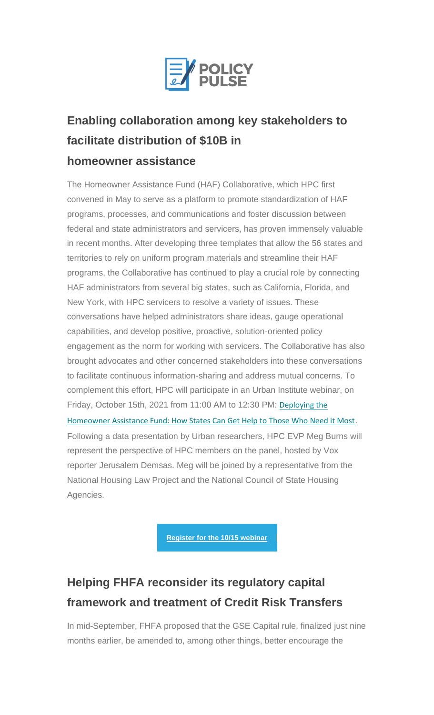

## <span id="page-3-0"></span>**Enabling collaboration among key stakeholders to facilitate distribution of \$10B in homeowner assistance**

The Homeowner Assistance Fund (HAF) Collaborative, which HPC first convened in May to serve as a platform to promote standardization of HAF programs, processes, and communications and foster discussion between federal and state administrators and servicers, has proven immensely valuable in recent months. After developing three templates that allow the 56 states and territories to rely on uniform program materials and streamline their HAF programs, the Collaborative has continued to play a crucial role by connecting HAF administrators from several big states, such as California, Florida, and New York, with HPC servicers to resolve a variety of issues. These conversations have helped administrators share ideas, gauge operational capabilities, and develop positive, proactive, solution-oriented policy engagement as the norm for working with servicers. The Collaborative has also brought advocates and other concerned stakeholders into these conversations to facilitate continuous information-sharing and address mutual concerns. To complement this effort, HPC will participate in an Urban Institute webinar, on Friday, October 15th, 2021 from 11:00 AM to 12:30 PM: [Deploying the](https://nam12.safelinks.protection.outlook.com/?url=https%3A%2F%2Fhousingpolicycouncil.us4.list-manage.com%2Ftrack%2Fclick%3Fu%3D5140623077e4523696cc45400%26id%3Daae240bb6d%26e%3D59545c9cdd&data=04%7C01%7CChris.Monaco%40housingpolicycouncil.org%7C9e642c76e2ba400ec7ae08d988e8a7b0%7Ca05a64bbd6ba4776b9825a9e6644ad76%7C1%7C0%7C637691355275647103%7CUnknown%7CTWFpbGZsb3d8eyJWIjoiMC4wLjAwMDAiLCJQIjoiV2luMzIiLCJBTiI6Ik1haWwiLCJXVCI6Mn0%3D%7C3000&sdata=uNBRSfP2FZjftY40WmoCCQKg2NkUiLlfUs58O3FoLMc%3D&reserved=0)  [Homeowner Assistance Fund: How States Can Get Help to Those Who Need it Most](https://nam12.safelinks.protection.outlook.com/?url=https%3A%2F%2Fhousingpolicycouncil.us4.list-manage.com%2Ftrack%2Fclick%3Fu%3D5140623077e4523696cc45400%26id%3Daae240bb6d%26e%3D59545c9cdd&data=04%7C01%7CChris.Monaco%40housingpolicycouncil.org%7C9e642c76e2ba400ec7ae08d988e8a7b0%7Ca05a64bbd6ba4776b9825a9e6644ad76%7C1%7C0%7C637691355275647103%7CUnknown%7CTWFpbGZsb3d8eyJWIjoiMC4wLjAwMDAiLCJQIjoiV2luMzIiLCJBTiI6Ik1haWwiLCJXVCI6Mn0%3D%7C3000&sdata=uNBRSfP2FZjftY40WmoCCQKg2NkUiLlfUs58O3FoLMc%3D&reserved=0). Following a data presentation by Urban researchers, HPC EVP Meg Burns will represent the perspective of HPC members on the panel, hosted by Vox reporter Jerusalem Demsas. Meg will be joined by a representative from the National Housing Law Project and the National Council of State Housing Agencies.

**[Register for the 10/15 webinar](https://nam12.safelinks.protection.outlook.com/?url=https%3A%2F%2Fhousingpolicycouncil.us4.list-manage.com%2Ftrack%2Fclick%3Fu%3D5140623077e4523696cc45400%26id%3D6d6838f635%26e%3D59545c9cdd&data=04%7C01%7CChris.Monaco%40housingpolicycouncil.org%7C9e642c76e2ba400ec7ae08d988e8a7b0%7Ca05a64bbd6ba4776b9825a9e6644ad76%7C1%7C0%7C637691355275657060%7CUnknown%7CTWFpbGZsb3d8eyJWIjoiMC4wLjAwMDAiLCJQIjoiV2luMzIiLCJBTiI6Ik1haWwiLCJXVCI6Mn0%3D%7C3000&sdata=EPb5SWFKDz5orMrEo9gZMuyQsqygfdDOqs6cYqOwkYE%3D&reserved=0)**

## **Helping FHFA reconsider its regulatory capital framework and treatment of Credit Risk Transfers**

In mid-September, FHFA proposed that the GSE Capital rule, finalized just nine months earlier, be amended to, among other things, better encourage the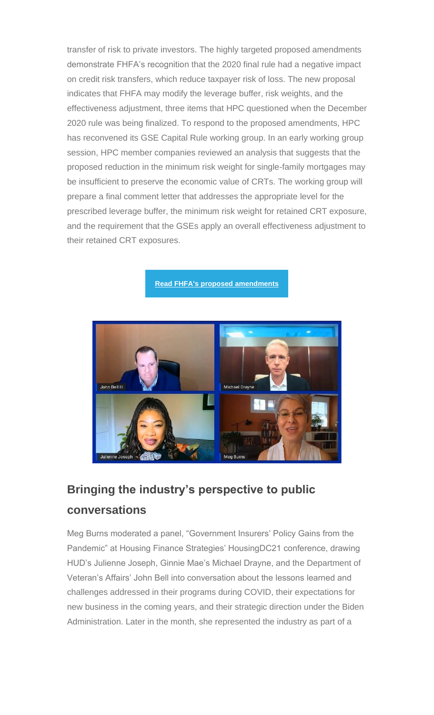transfer of risk to private investors. The highly targeted proposed amendments demonstrate FHFA's recognition that the 2020 final rule had a negative impact on credit risk transfers, which reduce taxpayer risk of loss. The new proposal indicates that FHFA may modify the leverage buffer, risk weights, and the effectiveness adjustment, three items that HPC questioned when the December 2020 rule was being finalized. To respond to the proposed amendments, HPC has reconvened its GSE Capital Rule working group. In an early working group session, HPC member companies reviewed an analysis that suggests that the proposed reduction in the minimum risk weight for single-family mortgages may be insufficient to preserve the economic value of CRTs. The working group will prepare a final comment letter that addresses the appropriate level for the prescribed leverage buffer, the minimum risk weight for retained CRT exposure, and the requirement that the GSEs apply an overall effectiveness adjustment to their retained CRT exposures.

**[Read FHFA's proposed amendments](https://nam12.safelinks.protection.outlook.com/?url=https%3A%2F%2Fhousingpolicycouncil.us4.list-manage.com%2Ftrack%2Fclick%3Fu%3D5140623077e4523696cc45400%26id%3D12456c3d8d%26e%3D59545c9cdd&data=04%7C01%7CChris.Monaco%40housingpolicycouncil.org%7C9e642c76e2ba400ec7ae08d988e8a7b0%7Ca05a64bbd6ba4776b9825a9e6644ad76%7C1%7C0%7C637691355275667038%7CUnknown%7CTWFpbGZsb3d8eyJWIjoiMC4wLjAwMDAiLCJQIjoiV2luMzIiLCJBTiI6Ik1haWwiLCJXVCI6Mn0%3D%7C3000&sdata=5WFo10qrZMEluxKuMz4iJwsv2sq1%2FjG3njOUGtCRGAY%3D&reserved=0)**



## **Bringing the industry's perspective to public conversations**

Meg Burns moderated a panel, "Government Insurers' Policy Gains from the Pandemic" at Housing Finance Strategies' HousingDC21 conference, drawing HUD's Julienne Joseph, Ginnie Mae's Michael Drayne, and the Department of Veteran's Affairs' John Bell into conversation about the lessons learned and challenges addressed in their programs during COVID, their expectations for new business in the coming years, and their strategic direction under the Biden Administration. Later in the month, she represented the industry as part of a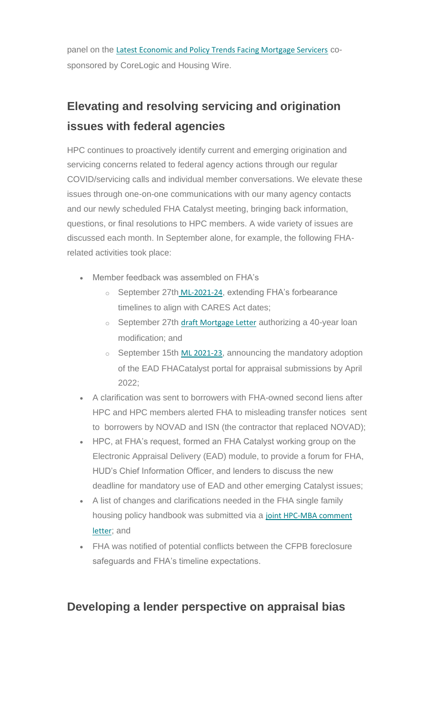panel on the [Latest Economic and Policy Trends Facing Mortgage Servicers](https://nam12.safelinks.protection.outlook.com/?url=https%3A%2F%2Fhousingpolicycouncil.us4.list-manage.com%2Ftrack%2Fclick%3Fu%3D5140623077e4523696cc45400%26id%3D2e6cd7b3f1%26e%3D59545c9cdd&data=04%7C01%7CChris.Monaco%40housingpolicycouncil.org%7C9e642c76e2ba400ec7ae08d988e8a7b0%7Ca05a64bbd6ba4776b9825a9e6644ad76%7C1%7C0%7C637691355275667038%7CUnknown%7CTWFpbGZsb3d8eyJWIjoiMC4wLjAwMDAiLCJQIjoiV2luMzIiLCJBTiI6Ik1haWwiLCJXVCI6Mn0%3D%7C3000&sdata=pPA1vWYF0md7zUDX2B2uNOBHmFWl7FFV0oxlqPs193Q%3D&reserved=0) cosponsored by CoreLogic and Housing Wire.

## **Elevating and resolving servicing and origination issues with federal agencies**

HPC continues to proactively identify current and emerging origination and servicing concerns related to federal agency actions through our regular COVID/servicing calls and individual member conversations. We elevate these issues through one-on-one communications with our many agency contacts and our newly scheduled FHA Catalyst meeting, bringing back information, questions, or final resolutions to HPC members. A wide variety of issues are discussed each month. In September alone, for example, the following FHArelated activities took place:

- Member feedback was assembled on FHA's
	- o September 27th [ML-2021-24](https://nam12.safelinks.protection.outlook.com/?url=https%3A%2F%2Fhousingpolicycouncil.us4.list-manage.com%2Ftrack%2Fclick%3Fu%3D5140623077e4523696cc45400%26id%3D0f02285da8%26e%3D59545c9cdd&data=04%7C01%7CChris.Monaco%40housingpolicycouncil.org%7C9e642c76e2ba400ec7ae08d988e8a7b0%7Ca05a64bbd6ba4776b9825a9e6644ad76%7C1%7C0%7C637691355275676985%7CUnknown%7CTWFpbGZsb3d8eyJWIjoiMC4wLjAwMDAiLCJQIjoiV2luMzIiLCJBTiI6Ik1haWwiLCJXVCI6Mn0%3D%7C3000&sdata=WcDpwNPPPXcya9dqIDgYB%2BgjdY2zF4T8N%2Fhl%2BR3Nah4%3D&reserved=0), extending FHA's forbearance timelines to align with CARES Act dates;
	- $\circ$  September 27th [draft Mortgage Letter](https://nam12.safelinks.protection.outlook.com/?url=https%3A%2F%2Fhousingpolicycouncil.us4.list-manage.com%2Ftrack%2Fclick%3Fu%3D5140623077e4523696cc45400%26id%3D114b8a9a42%26e%3D59545c9cdd&data=04%7C01%7CChris.Monaco%40housingpolicycouncil.org%7C9e642c76e2ba400ec7ae08d988e8a7b0%7Ca05a64bbd6ba4776b9825a9e6644ad76%7C1%7C0%7C637691355275686930%7CUnknown%7CTWFpbGZsb3d8eyJWIjoiMC4wLjAwMDAiLCJQIjoiV2luMzIiLCJBTiI6Ik1haWwiLCJXVCI6Mn0%3D%7C3000&sdata=mSEvkbAfI8JmhEAfoYgDC8dOdH%2BRaTVqVFwCG6a9vn4%3D&reserved=0) authorizing a 40-year loan modification; and
	- $\circ$  September 15th [ML 2021-23](https://nam12.safelinks.protection.outlook.com/?url=https%3A%2F%2Fhousingpolicycouncil.us4.list-manage.com%2Ftrack%2Fclick%3Fu%3D5140623077e4523696cc45400%26id%3D5f4b53f5ee%26e%3D59545c9cdd&data=04%7C01%7CChris.Monaco%40housingpolicycouncil.org%7C9e642c76e2ba400ec7ae08d988e8a7b0%7Ca05a64bbd6ba4776b9825a9e6644ad76%7C1%7C0%7C637691355275696884%7CUnknown%7CTWFpbGZsb3d8eyJWIjoiMC4wLjAwMDAiLCJQIjoiV2luMzIiLCJBTiI6Ik1haWwiLCJXVCI6Mn0%3D%7C3000&sdata=Fq%2FV%2FWUCa0ZJtyf1dvmFJpFfNyMpDhvQ88iEo2EEfaM%3D&reserved=0), announcing the mandatory adoption of the EAD FHACatalyst portal for appraisal submissions by April 2022;
- A clarification was sent to borrowers with FHA-owned second liens after HPC and HPC members alerted FHA to misleading transfer notices sent to borrowers by NOVAD and ISN (the contractor that replaced NOVAD);
- HPC, at FHA's request, formed an FHA Catalyst working group on the Electronic Appraisal Delivery (EAD) module, to provide a forum for FHA, HUD's Chief Information Officer, and lenders to discuss the new deadline for mandatory use of EAD and other emerging Catalyst issues;
- A list of changes and clarifications needed in the FHA single family housing policy handbook was submitted via a [joint HPC-MBA comment](https://nam12.safelinks.protection.outlook.com/?url=https%3A%2F%2Fhousingpolicycouncil.us4.list-manage.com%2Ftrack%2Fclick%3Fu%3D5140623077e4523696cc45400%26id%3D03685fabec%26e%3D59545c9cdd&data=04%7C01%7CChris.Monaco%40housingpolicycouncil.org%7C9e642c76e2ba400ec7ae08d988e8a7b0%7Ca05a64bbd6ba4776b9825a9e6644ad76%7C1%7C0%7C637691355275706842%7CUnknown%7CTWFpbGZsb3d8eyJWIjoiMC4wLjAwMDAiLCJQIjoiV2luMzIiLCJBTiI6Ik1haWwiLCJXVCI6Mn0%3D%7C3000&sdata=Fg1en5Iogz188m2DlBsJX%2BXwk62QJBf8BfY2gcanxrA%3D&reserved=0)  [letter](https://nam12.safelinks.protection.outlook.com/?url=https%3A%2F%2Fhousingpolicycouncil.us4.list-manage.com%2Ftrack%2Fclick%3Fu%3D5140623077e4523696cc45400%26id%3D03685fabec%26e%3D59545c9cdd&data=04%7C01%7CChris.Monaco%40housingpolicycouncil.org%7C9e642c76e2ba400ec7ae08d988e8a7b0%7Ca05a64bbd6ba4776b9825a9e6644ad76%7C1%7C0%7C637691355275706842%7CUnknown%7CTWFpbGZsb3d8eyJWIjoiMC4wLjAwMDAiLCJQIjoiV2luMzIiLCJBTiI6Ik1haWwiLCJXVCI6Mn0%3D%7C3000&sdata=Fg1en5Iogz188m2DlBsJX%2BXwk62QJBf8BfY2gcanxrA%3D&reserved=0); and
- FHA was notified of potential conflicts between the CFPB foreclosure safeguards and FHA's timeline expectations.

#### **Developing a lender perspective on appraisal bias**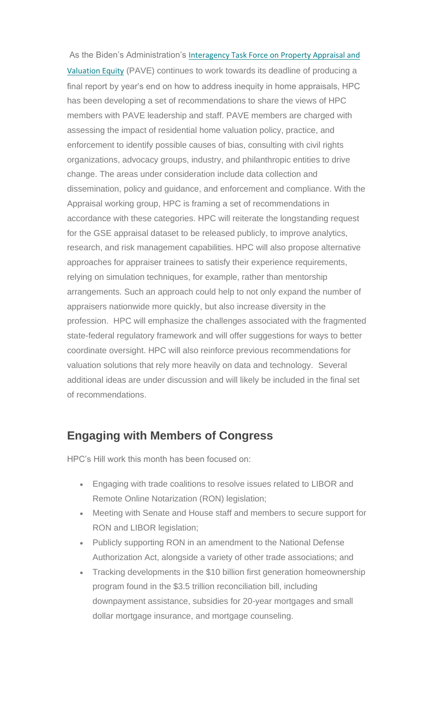As the Biden's Administration's [Interagency Task Force on Property Appraisal and](https://nam12.safelinks.protection.outlook.com/?url=https%3A%2F%2Fhousingpolicycouncil.us4.list-manage.com%2Ftrack%2Fclick%3Fu%3D5140623077e4523696cc45400%26id%3D4c097c0f71%26e%3D59545c9cdd&data=04%7C01%7CChris.Monaco%40housingpolicycouncil.org%7C9e642c76e2ba400ec7ae08d988e8a7b0%7Ca05a64bbd6ba4776b9825a9e6644ad76%7C1%7C0%7C637691355275706842%7CUnknown%7CTWFpbGZsb3d8eyJWIjoiMC4wLjAwMDAiLCJQIjoiV2luMzIiLCJBTiI6Ik1haWwiLCJXVCI6Mn0%3D%7C3000&sdata=jYVeCFIRSyFSG3B%2FaiX2Ot%2Fv0OL63Zu3QTWteKIHpF8%3D&reserved=0)  [Valuation Equity](https://nam12.safelinks.protection.outlook.com/?url=https%3A%2F%2Fhousingpolicycouncil.us4.list-manage.com%2Ftrack%2Fclick%3Fu%3D5140623077e4523696cc45400%26id%3D4c097c0f71%26e%3D59545c9cdd&data=04%7C01%7CChris.Monaco%40housingpolicycouncil.org%7C9e642c76e2ba400ec7ae08d988e8a7b0%7Ca05a64bbd6ba4776b9825a9e6644ad76%7C1%7C0%7C637691355275706842%7CUnknown%7CTWFpbGZsb3d8eyJWIjoiMC4wLjAwMDAiLCJQIjoiV2luMzIiLCJBTiI6Ik1haWwiLCJXVCI6Mn0%3D%7C3000&sdata=jYVeCFIRSyFSG3B%2FaiX2Ot%2Fv0OL63Zu3QTWteKIHpF8%3D&reserved=0) (PAVE) continues to work towards its deadline of producing a final report by year's end on how to address inequity in home appraisals, HPC has been developing a set of recommendations to share the views of HPC members with PAVE leadership and staff. PAVE members are charged with assessing the impact of residential home valuation policy, practice, and enforcement to identify possible causes of bias, consulting with civil rights organizations, advocacy groups, industry, and philanthropic entities to drive change. The areas under consideration include data collection and dissemination, policy and guidance, and enforcement and compliance. With the Appraisal working group, HPC is framing a set of recommendations in accordance with these categories. HPC will reiterate the longstanding request for the GSE appraisal dataset to be released publicly, to improve analytics, research, and risk management capabilities. HPC will also propose alternative approaches for appraiser trainees to satisfy their experience requirements, relying on simulation techniques, for example, rather than mentorship arrangements. Such an approach could help to not only expand the number of appraisers nationwide more quickly, but also increase diversity in the profession. HPC will emphasize the challenges associated with the fragmented state-federal regulatory framework and will offer suggestions for ways to better coordinate oversight. HPC will also reinforce previous recommendations for valuation solutions that rely more heavily on data and technology. Several additional ideas are under discussion and will likely be included in the final set of recommendations.

#### **Engaging with Members of Congress**

HPC's Hill work this month has been focused on:

- Engaging with trade coalitions to resolve issues related to LIBOR and Remote Online Notarization (RON) legislation;
- Meeting with Senate and House staff and members to secure support for RON and LIBOR legislation;
- Publicly supporting RON in an amendment to the National Defense Authorization Act, alongside a variety of other trade associations; and
- Tracking developments in the \$10 billion first generation homeownership program found in the \$3.5 trillion reconciliation bill, including downpayment assistance, subsidies for 20-year mortgages and small dollar mortgage insurance, and mortgage counseling.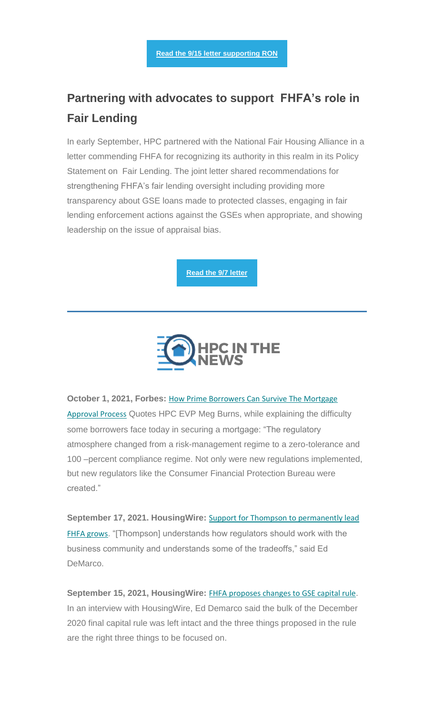## **Partnering with advocates to support FHFA's role in Fair Lending**

In early September, HPC partnered with the National Fair Housing Alliance in a letter commending FHFA for recognizing its authority in this realm in its Policy Statement on Fair Lending. The joint letter shared recommendations for strengthening FHFA's fair lending oversight including providing more transparency about GSE loans made to protected classes, engaging in fair lending enforcement actions against the GSEs when appropriate, and showing leadership on the issue of appraisal bias.

**[Read the 9/7 letter](https://nam12.safelinks.protection.outlook.com/?url=https%3A%2F%2Fhousingpolicycouncil.us4.list-manage.com%2Ftrack%2Fclick%3Fu%3D5140623077e4523696cc45400%26id%3D47216e31e4%26e%3D59545c9cdd&data=04%7C01%7CChris.Monaco%40housingpolicycouncil.org%7C9e642c76e2ba400ec7ae08d988e8a7b0%7Ca05a64bbd6ba4776b9825a9e6644ad76%7C1%7C0%7C637691355275726753%7CUnknown%7CTWFpbGZsb3d8eyJWIjoiMC4wLjAwMDAiLCJQIjoiV2luMzIiLCJBTiI6Ik1haWwiLCJXVCI6Mn0%3D%7C3000&sdata=aGnQYnCAAELfzZVyPYigIn2LPLYLF%2FCGlgVBcqu7H2w%3D&reserved=0)**



<span id="page-7-0"></span>**October 1, 2021, Forbes: How Prime Borrowers Can Survive The Mortgage** [Approval Process](https://nam12.safelinks.protection.outlook.com/?url=https%3A%2F%2Fhousingpolicycouncil.us4.list-manage.com%2Ftrack%2Fclick%3Fu%3D5140623077e4523696cc45400%26id%3Dc549c96e5d%26e%3D59545c9cdd&data=04%7C01%7CChris.Monaco%40housingpolicycouncil.org%7C9e642c76e2ba400ec7ae08d988e8a7b0%7Ca05a64bbd6ba4776b9825a9e6644ad76%7C1%7C0%7C637691355275726753%7CUnknown%7CTWFpbGZsb3d8eyJWIjoiMC4wLjAwMDAiLCJQIjoiV2luMzIiLCJBTiI6Ik1haWwiLCJXVCI6Mn0%3D%7C3000&sdata=ugmhNj1Oulw2sNHwPwFYQwfFs3G295JyRXoB7gr8fz8%3D&reserved=0) Quotes HPC EVP Meg Burns, while explaining the difficulty some borrowers face today in securing a mortgage: "The regulatory atmosphere changed from a risk-management regime to a zero-tolerance and 100 –percent compliance regime. Not only were new regulations implemented, but new regulators like the Consumer Financial Protection Bureau were created."

**September 17, 2021. HousingWire:** [Support for Thompson to permanently lead](https://nam12.safelinks.protection.outlook.com/?url=https%3A%2F%2Fhousingpolicycouncil.us4.list-manage.com%2Ftrack%2Fclick%3Fu%3D5140623077e4523696cc45400%26id%3Ddd380182e4%26e%3D59545c9cdd&data=04%7C01%7CChris.Monaco%40housingpolicycouncil.org%7C9e642c76e2ba400ec7ae08d988e8a7b0%7Ca05a64bbd6ba4776b9825a9e6644ad76%7C1%7C0%7C637691355275736717%7CUnknown%7CTWFpbGZsb3d8eyJWIjoiMC4wLjAwMDAiLCJQIjoiV2luMzIiLCJBTiI6Ik1haWwiLCJXVCI6Mn0%3D%7C3000&sdata=79wqoP8mthm39IWpp0PIapqjmMVa7%2BOscSMED70YFtw%3D&reserved=0)  [FHFA grows](https://nam12.safelinks.protection.outlook.com/?url=https%3A%2F%2Fhousingpolicycouncil.us4.list-manage.com%2Ftrack%2Fclick%3Fu%3D5140623077e4523696cc45400%26id%3Ddd380182e4%26e%3D59545c9cdd&data=04%7C01%7CChris.Monaco%40housingpolicycouncil.org%7C9e642c76e2ba400ec7ae08d988e8a7b0%7Ca05a64bbd6ba4776b9825a9e6644ad76%7C1%7C0%7C637691355275736717%7CUnknown%7CTWFpbGZsb3d8eyJWIjoiMC4wLjAwMDAiLCJQIjoiV2luMzIiLCJBTiI6Ik1haWwiLCJXVCI6Mn0%3D%7C3000&sdata=79wqoP8mthm39IWpp0PIapqjmMVa7%2BOscSMED70YFtw%3D&reserved=0). "[Thompson] understands how regulators should work with the business community and understands some of the tradeoffs," said Ed DeMarco.

**September 15, 2021, HousingWire:** [FHFA proposes changes to GSE capital rule](https://nam12.safelinks.protection.outlook.com/?url=https%3A%2F%2Fhousingpolicycouncil.us4.list-manage.com%2Ftrack%2Fclick%3Fu%3D5140623077e4523696cc45400%26id%3D67a0fb2708%26e%3D59545c9cdd&data=04%7C01%7CChris.Monaco%40housingpolicycouncil.org%7C9e642c76e2ba400ec7ae08d988e8a7b0%7Ca05a64bbd6ba4776b9825a9e6644ad76%7C1%7C0%7C637691355275736717%7CUnknown%7CTWFpbGZsb3d8eyJWIjoiMC4wLjAwMDAiLCJQIjoiV2luMzIiLCJBTiI6Ik1haWwiLCJXVCI6Mn0%3D%7C3000&sdata=2TUByN6JamUbw7UKzZjFPxAg%2FDLppPVIfPIXGYv7Ikk%3D&reserved=0). In an interview with HousingWire, Ed Demarco said the bulk of the December 2020 final capital rule was left intact and the three things proposed in the rule are the right three things to be focused on.